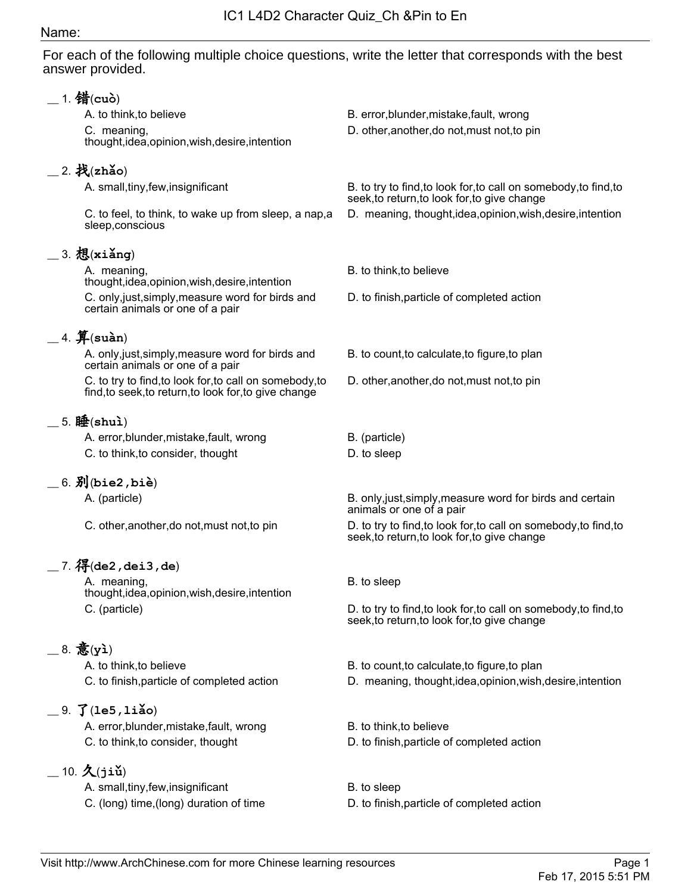## Name:

For each of the following multiple choice questions, write the letter that corresponds with the best answer provided.

| 1. 错(cuò)                                                                                                        |                                                                                                                  |
|------------------------------------------------------------------------------------------------------------------|------------------------------------------------------------------------------------------------------------------|
| A. to think, to believe                                                                                          | B. error, blunder, mistake, fault, wrong                                                                         |
| C. meaning,<br>thought, idea, opinion, wish, desire, intention                                                   | D. other, another, do not, must not, to pin                                                                      |
| $=$ 2. 找(zhǎo)                                                                                                   |                                                                                                                  |
| A. small, tiny, few, insignificant                                                                               | B. to try to find, to look for, to call on somebody, to find, to<br>seek, to return, to look for, to give change |
| C. to feel, to think, to wake up from sleep, a nap, a<br>sleep, conscious                                        | D. meaning, thought, idea, opinion, wish, desire, intention                                                      |
| $=$ 3. 想(xiǎng)                                                                                                  |                                                                                                                  |
| A. meaning,<br>thought, idea, opinion, wish, desire, intention                                                   | B. to think, to believe                                                                                          |
| C. only, just, simply, measure word for birds and<br>certain animals or one of a pair                            | D. to finish, particle of completed action                                                                       |
| $=$ 4. $$$ (suàn)                                                                                                |                                                                                                                  |
| A. only, just, simply, measure word for birds and<br>certain animals or one of a pair                            | B. to count, to calculate, to figure, to plan                                                                    |
| C. to try to find, to look for, to call on somebody, to<br>find, to seek, to return, to look for, to give change | D. other, another, do not, must not, to pin                                                                      |
| 5. 睡 $(\text{shu})$                                                                                              |                                                                                                                  |
| A. error, blunder, mistake, fault, wrong                                                                         | B. (particle)                                                                                                    |
| C. to think, to consider, thought                                                                                | D. to sleep                                                                                                      |
| $=$ 6. $\mathfrak{H}$ (bie2,biè)                                                                                 |                                                                                                                  |
| A. (particle)                                                                                                    | B. only, just, simply, measure word for birds and certain                                                        |
|                                                                                                                  | animals or one of a pair                                                                                         |
| C. other, another, do not, must not, to pin                                                                      | D. to try to find, to look for, to call on somebody, to find, to<br>seek, to return, to look for, to give change |
| $\frac{1}{2}$ 7. $\frac{1}{2}$ (de2 , dei3 , de)                                                                 |                                                                                                                  |
| A. meaning,<br>thought, idea, opinion, wish, desire, intention                                                   | B. to sleep                                                                                                      |
| C. (particle)                                                                                                    | D. to try to find, to look for, to call on somebody, to find, to<br>seek, to return, to look for, to give change |
| $=$ 8. 意(yì)                                                                                                     |                                                                                                                  |
| A. to think, to believe                                                                                          | B. to count, to calculate, to figure, to plan                                                                    |
| C. to finish, particle of completed action                                                                       | D. meaning, thought, idea, opinion, wish, desire, intention                                                      |
| $= 9.$ $\overline{J}$ (1e5, 1iǎo)                                                                                |                                                                                                                  |
| A. error, blunder, mistake, fault, wrong                                                                         | B. to think, to believe                                                                                          |
| C. to think, to consider, thought                                                                                | D. to finish, particle of completed action                                                                       |
| $\_$ 10. 人 $(j$ iǔ)                                                                                              |                                                                                                                  |
| A. small, tiny, few, insignificant                                                                               | B. to sleep                                                                                                      |
| C. (long) time, (long) duration of time                                                                          | D. to finish, particle of completed action                                                                       |